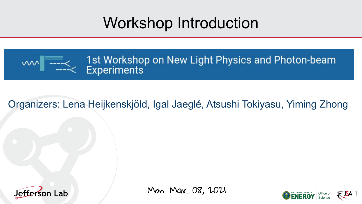## Workshop Introduction



1st Workshop on New Light Physics and Photon-beam **Experiments** 

## Organizers: Lena Heijkenskjöld, Igal Jaeglé, Atsushi Tokiyasu, Yiming Zhong



Mon. Mar. 08, 2021

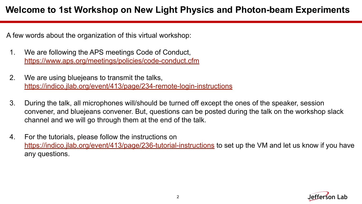A few words about the organization of this virtual workshop:

- 1. We are following the APS meetings Code of Conduct, <https://www.aps.org/meetings/policies/code-conduct.cfm>
- 2. We are using bluejeans to transmit the talks, <https://indico.jlab.org/event/413/page/234-remote-login-instructions>
- 3. During the talk, all microphones will/should be turned off except the ones of the speaker, session convener, and bluejeans convener. But, questions can be posted during the talk on the workshop slack channel and we will go through them at the end of the talk.
- 4. For the tutorials, please follow the instructions on <https://indico.jlab.org/event/413/page/236-tutorial-instructions>to set up the VM and let us know if you have any questions.

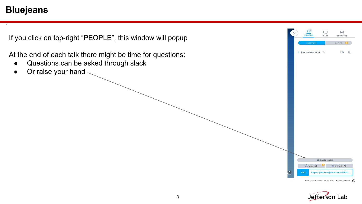## **Bluejeans**

If you click on top-right "PEOPLE", this window will popup

At the end of each talk there might be time for questions:

- Questions can be asked through slack
- Or raise your hand



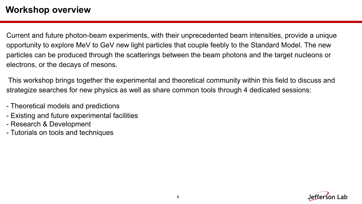## **Workshop overview**

Current and future photon-beam experiments, with their unprecedented beam intensities, provide a unique opportunity to explore MeV to GeV new light particles that couple feebly to the Standard Model. The new particles can be produced through the scatterings between the beam photons and the target nucleons or electrons, or the decays of mesons.

 This workshop brings together the experimental and theoretical community within this field to discuss and strategize searches for new physics as well as share common tools through 4 dedicated sessions:

- Theoretical models and predictions
- Existing and future experimental facilities
- Research & Development
- Tutorials on tools and techniques

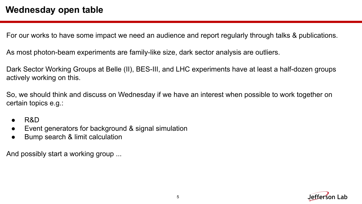For our works to have some impact we need an audience and report regularly through talks & publications.

As most photon-beam experiments are family-like size, dark sector analysis are outliers.

Dark Sector Working Groups at Belle (II), BES-III, and LHC experiments have at least a half-dozen groups actively working on this.

So, we should think and discuss on Wednesday if we have an interest when possible to work together on certain topics e.g.:

- R&D
- Event generators for background & signal simulation
- Bump search & limit calculation

And possibly start a working group ...